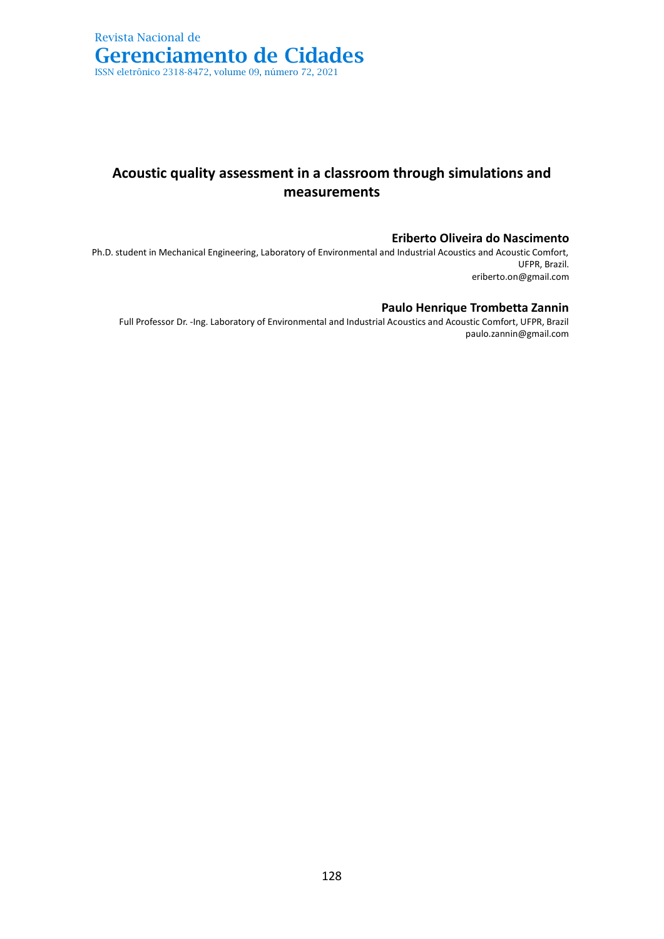# **Acoustic quality assessment in a classroom through simulations and measurements**

## **Eriberto Oliveira do Nascimento**

Ph.D. student in Mechanical Engineering, Laboratory of Environmental and Industrial Acoustics and Acoustic Comfort, UFPR, Brazil. eriberto.on@gmail.com

### **Paulo Henrique Trombetta Zannin**

Full Professor Dr. -Ing. Laboratory of Environmental and Industrial Acoustics and Acoustic Comfort, UFPR, Brazil paulo.zannin@gmail.com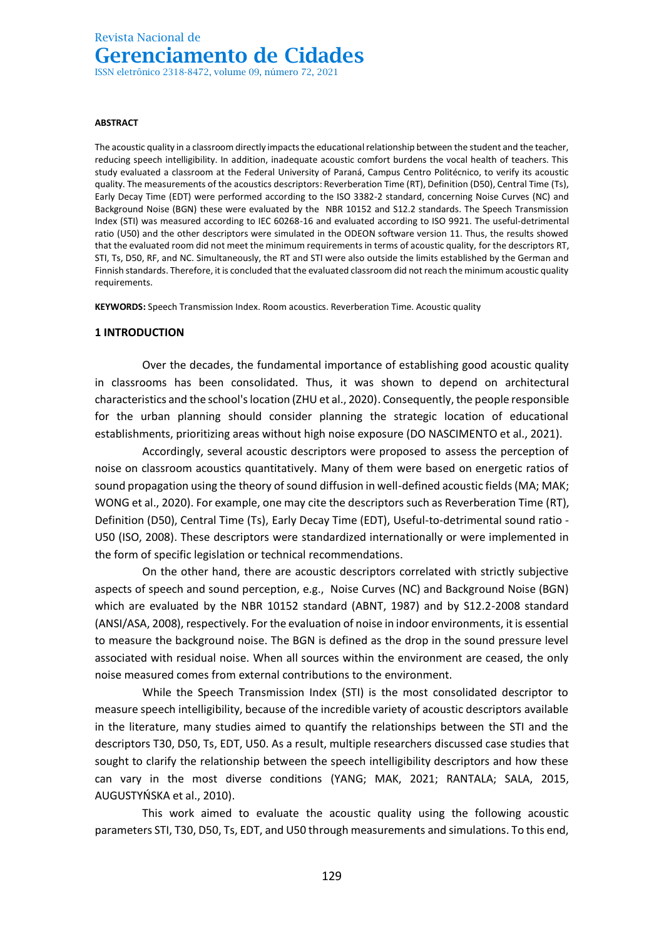#### **ABSTRACT**

The acoustic quality in a classroom directly impacts the educational relationship between the student and the teacher, reducing speech intelligibility. In addition, inadequate acoustic comfort burdens the vocal health of teachers. This study evaluated a classroom at the Federal University of Paraná, Campus Centro Politécnico, to verify its acoustic quality. The measurements of the acoustics descriptors: Reverberation Time (RT), Definition (D50), Central Time (Ts), Early Decay Time (EDT) were performed according to the ISO 3382-2 standard, concerning Noise Curves (NC) and Background Noise (BGN) these were evaluated by the NBR 10152 and S12.2 standards. The Speech Transmission Index (STI) was measured according to IEC 60268-16 and evaluated according to ISO 9921. The useful-detrimental ratio (U50) and the other descriptors were simulated in the ODEON software version 11. Thus, the results showed that the evaluated room did not meet the minimum requirements in terms of acoustic quality, for the descriptors RT, STI, Ts, D50, RF, and NC. Simultaneously, the RT and STI were also outside the limits established by the German and Finnish standards. Therefore, it is concluded that the evaluated classroom did not reach the minimum acoustic quality requirements.

**KEYWORDS:** Speech Transmission Index. Room acoustics. Reverberation Time. Acoustic quality

#### **1 INTRODUCTION**

Over the decades, the fundamental importance of establishing good acoustic quality in classrooms has been consolidated. Thus, it was shown to depend on architectural characteristics and the school's location (ZHU et al., 2020). Consequently, the people responsible for the urban planning should consider planning the strategic location of educational establishments, prioritizing areas without high noise exposure (DO NASCIMENTO et al., 2021).

Accordingly, several acoustic descriptors were proposed to assess the perception of noise on classroom acoustics quantitatively. Many of them were based on energetic ratios of sound propagation using the theory of sound diffusion in well-defined acoustic fields (MA; MAK; WONG et al., 2020). For example, one may cite the descriptors such as Reverberation Time (RT), Definition (D50), Central Time (Ts), Early Decay Time (EDT), Useful-to-detrimental sound ratio - U50 (ISO, 2008). These descriptors were standardized internationally or were implemented in the form of specific legislation or technical recommendations.

On the other hand, there are acoustic descriptors correlated with strictly subjective aspects of speech and sound perception, e.g., Noise Curves (NC) and Background Noise (BGN) which are evaluated by the NBR 10152 standard (ABNT, 1987) and by S12.2-2008 standard (ANSI/ASA, 2008), respectively. For the evaluation of noise in indoor environments, it is essential to measure the background noise. The BGN is defined as the drop in the sound pressure level associated with residual noise. When all sources within the environment are ceased, the only noise measured comes from external contributions to the environment.

While the Speech Transmission Index (STI) is the most consolidated descriptor to measure speech intelligibility, because of the incredible variety of acoustic descriptors available in the literature, many studies aimed to quantify the relationships between the STI and the descriptors T30, D50, Ts, EDT, U50. As a result, multiple researchers discussed case studies that sought to clarify the relationship between the speech intelligibility descriptors and how these can vary in the most diverse conditions (YANG; MAK, 2021; RANTALA; SALA, 2015, AUGUSTYŃSKA et al., 2010).

This work aimed to evaluate the acoustic quality using the following acoustic parameters STI, T30, D50, Ts, EDT, and U50 through measurements and simulations. To this end,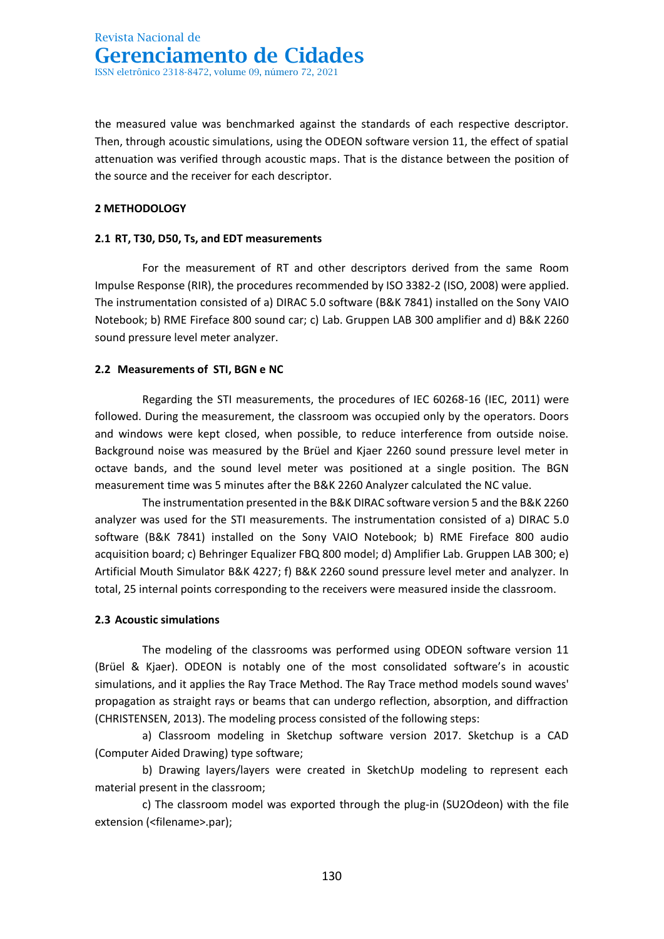the measured value was benchmarked against the standards of each respective descriptor. Then, through acoustic simulations, using the ODEON software version 11, the effect of spatial attenuation was verified through acoustic maps. That is the distance between the position of the source and the receiver for each descriptor.

## **2 METHODOLOGY**

## **2.1 RT, T30, D50, Ts, and EDT measurements**

For the measurement of RT and other descriptors derived from the same Room Impulse Response (RIR), the procedures recommended by ISO 3382-2 (ISO, 2008) were applied. The instrumentation consisted of a) DIRAC 5.0 software (B&K 7841) installed on the Sony VAIO Notebook; b) RME Fireface 800 sound car; c) Lab. Gruppen LAB 300 amplifier and d) B&K 2260 sound pressure level meter analyzer.

## **2.2 Measurements of STI, BGN e NC**

Regarding the STI measurements, the procedures of IEC 60268-16 (IEC, 2011) were followed. During the measurement, the classroom was occupied only by the operators. Doors and windows were kept closed, when possible, to reduce interference from outside noise. Background noise was measured by the Brüel and Kjaer 2260 sound pressure level meter in octave bands, and the sound level meter was positioned at a single position. The BGN measurement time was 5 minutes after the B&K 2260 Analyzer calculated the NC value.

The instrumentation presented in the B&K DIRAC software version 5 and the B&K 2260 analyzer was used for the STI measurements. The instrumentation consisted of a) DIRAC 5.0 software (B&K 7841) installed on the Sony VAIO Notebook; b) RME Fireface 800 audio acquisition board; c) Behringer Equalizer FBQ 800 model; d) Amplifier Lab. Gruppen LAB 300; e) Artificial Mouth Simulator B&K 4227; f) B&K 2260 sound pressure level meter and analyzer. In total, 25 internal points corresponding to the receivers were measured inside the classroom.

## **2.3 Acoustic simulations**

The modeling of the classrooms was performed using ODEON software version 11 (Brüel & Kjaer). ODEON is notably one of the most consolidated software's in acoustic simulations, and it applies the Ray Trace Method. The Ray Trace method models sound waves' propagation as straight rays or beams that can undergo reflection, absorption, and diffraction (CHRISTENSEN, 2013). The modeling process consisted of the following steps:

a) Classroom modeling in Sketchup software version 2017. Sketchup is a CAD (Computer Aided Drawing) type software;

b) Drawing layers/layers were created in SketchUp modeling to represent each material present in the classroom;

c) The classroom model was exported through the plug-in (SU2Odeon) with the file extension (<filename>.par);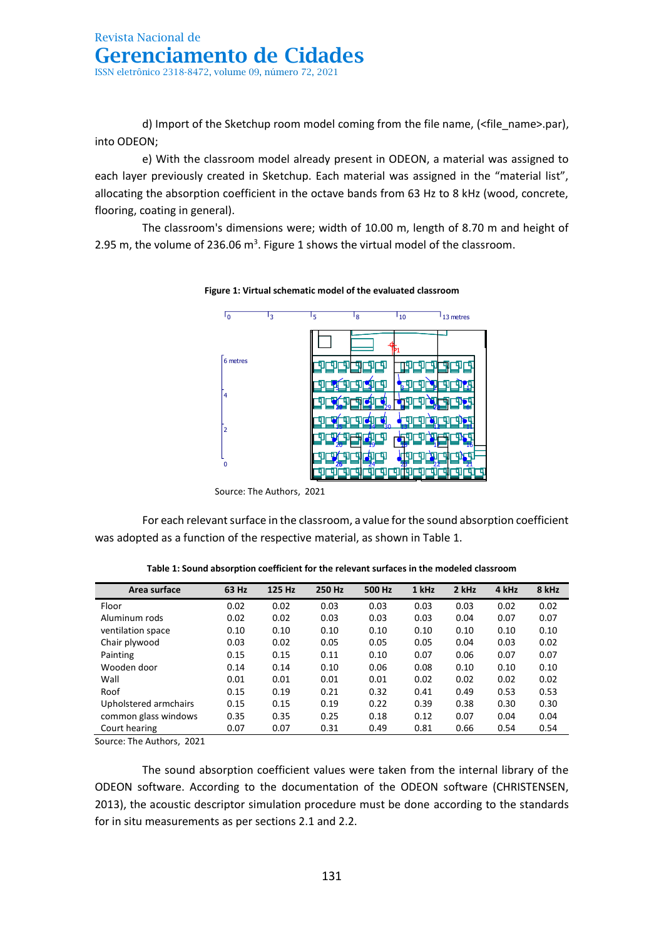d) Import of the Sketchup room model coming from the file name, (<file\_name>.par), into ODEON;

e) With the classroom model already present in ODEON, a material was assigned to each layer previously created in Sketchup. Each material was assigned in the "material list", allocating the absorption coefficient in the octave bands from 63 Hz to 8 kHz (wood, concrete, flooring, coating in general).

The classroom's dimensions were; width of 10.00 m, length of 8.70 m and height of 2.95 m, the volume of 236.06  $m^3$ . Figure 1 shows the virtual model of the classroom.



**Figure 1: Virtual schematic model of the evaluated classroom**

 Source: The Authors, 2021 Odeon©1985-2011 Licensed to: Universidade Federal do Pará (UFPA)

For each relevant surface in the classroom, a value for the sound absorption coefficient was adopted as a function of the respective material, as shown in Table 1.

| Area surface          | 63 Hz | 125 Hz | 250 Hz | 500 Hz | 1 kHz | 2 kHz | 4 kHz | 8 kHz |
|-----------------------|-------|--------|--------|--------|-------|-------|-------|-------|
| Floor                 | 0.02  | 0.02   | 0.03   | 0.03   | 0.03  | 0.03  | 0.02  | 0.02  |
| Aluminum rods         | 0.02  | 0.02   | 0.03   | 0.03   | 0.03  | 0.04  | 0.07  | 0.07  |
| ventilation space     | 0.10  | 0.10   | 0.10   | 0.10   | 0.10  | 0.10  | 0.10  | 0.10  |
| Chair plywood         | 0.03  | 0.02   | 0.05   | 0.05   | 0.05  | 0.04  | 0.03  | 0.02  |
| Painting              | 0.15  | 0.15   | 0.11   | 0.10   | 0.07  | 0.06  | 0.07  | 0.07  |
| Wooden door           | 0.14  | 0.14   | 0.10   | 0.06   | 0.08  | 0.10  | 0.10  | 0.10  |
| Wall                  | 0.01  | 0.01   | 0.01   | 0.01   | 0.02  | 0.02  | 0.02  | 0.02  |
| Roof                  | 0.15  | 0.19   | 0.21   | 0.32   | 0.41  | 0.49  | 0.53  | 0.53  |
| Upholstered armchairs | 0.15  | 0.15   | 0.19   | 0.22   | 0.39  | 0.38  | 0.30  | 0.30  |
| common glass windows  | 0.35  | 0.35   | 0.25   | 0.18   | 0.12  | 0.07  | 0.04  | 0.04  |
| Court hearing         | 0.07  | 0.07   | 0.31   | 0.49   | 0.81  | 0.66  | 0.54  | 0.54  |

**Table 1: Sound absorption coefficient for the relevant surfaces in the modeled classroom**

Source: The Authors, 2021

The sound absorption coefficient values were taken from the internal library of the ODEON software. According to the documentation of the ODEON software (CHRISTENSEN, 2013), the acoustic descriptor simulation procedure must be done according to the standards for in situ measurements as per sections 2.1 and 2.2.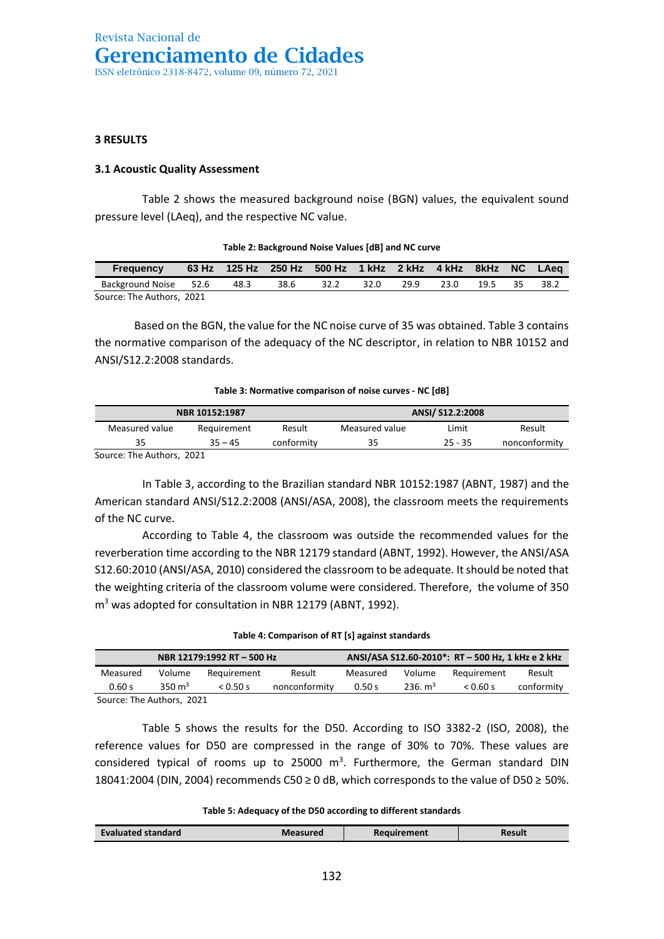## **3 RESULTS**

## **3.1 Acoustic Quality Assessment**

Table 2 shows the measured background noise (BGN) values, the equivalent sound pressure level (LAeq), and the respective NC value.

| Table 2: Background Noise Values (dB) and NC curve                                                                       |  |                                                            |      |      |      |      |      |      |    |      |
|--------------------------------------------------------------------------------------------------------------------------|--|------------------------------------------------------------|------|------|------|------|------|------|----|------|
| <b>Frequency</b>                                                                                                         |  | 63 Hz 125 Hz 250 Hz 500 Hz 1 kHz 2 kHz 4 kHz 8 kHz NC LAeg |      |      |      |      |      |      |    |      |
| Background Noise 52.6                                                                                                    |  | 48.3                                                       | 38.6 | 32.2 | 32.0 | 29.9 | 23.0 | 19.5 | 35 | 38.2 |
| $C_{\text{max}}$ $\mathbf{L}_{\text{max}}$ $\mathbf{L}_{\text{max}}$ $\mathbf{L}_{\text{max}}$ $\mathbf{L}_{\text{max}}$ |  |                                                            |      |      |      |      |      |      |    |      |

## **Table 2: Background Noise Values [dB] and NC curve**

Source: The Authors, 2021

Based on the BGN, the value for the NC noise curve of 35 was obtained. Table 3 contains the normative comparison of the adequacy of the NC descriptor, in relation to NBR 10152 and ANSI/S12.2:2008 standards.

#### **Table 3: Normative comparison of noise curves - NC [dB]**

|                           | NBR 10152:1987 |            |                | ANSI/ S12.2:2008 |               |
|---------------------------|----------------|------------|----------------|------------------|---------------|
| Measured value            | Requirement    | Result     | Measured value | Limit            | Result        |
| 35                        | $35 - 45$      | conformity | 35             | $25 - 35$        | nonconformity |
| Source: The Authors, 2021 |                |            |                |                  |               |

In Table 3, according to the Brazilian standard NBR 10152:1987 (ABNT, 1987) and the American standard ANSI/S12.2:2008 (ANSI/ASA, 2008), the classroom meets the requirements of the NC curve.

According to Table 4, the classroom was outside the recommended values for the reverberation time according to the NBR 12179 standard (ABNT, 1992). However, the ANSI/ASA S12.60:2010 (ANSI/ASA, 2010) considered the classroom to be adequate. It should be noted that the weighting criteria of the classroom volume were considered. Therefore, the volume of 350 m<sup>3</sup> was adopted for consultation in NBR 12179 (ABNT, 1992).

|  |  | Table 4: Comparison of RT [s] against standards |  |
|--|--|-------------------------------------------------|--|
|--|--|-------------------------------------------------|--|

| NBR 12179:1992 RT-500 Hz  |          |             |               |          |                     |             | ANSI/ASA S12.60-2010*: RT - 500 Hz, 1 kHz e 2 kHz |  |  |  |
|---------------------------|----------|-------------|---------------|----------|---------------------|-------------|---------------------------------------------------|--|--|--|
| Measured                  | Volume   | Reauirement | Result        | Measured | Volume              | Requirement | Result                                            |  |  |  |
| 0.60 s                    | 350 $m3$ | 0.50 s      | nonconformity | 0.50 s   | 236. m <sup>3</sup> | 0.60 s      | conformity                                        |  |  |  |
| Source: The Authors, 2021 |          |             |               |          |                     |             |                                                   |  |  |  |

Table 5 shows the results for the D50. According to ISO 3382-2 (ISO, 2008), the reference values for D50 are compressed in the range of 30% to 70%. These values are considered typical of rooms up to 25000  $m^3$ . Furthermore, the German standard DIN 18041:2004 (DIN, 2004) recommends C50 ≥ 0 dB, which corresponds to the value of D50 ≥ 50%.

**Table 5: Adequacy of the D50 according to different standards** 

| Evaluated standard | Measured | Requirement | Result |
|--------------------|----------|-------------|--------|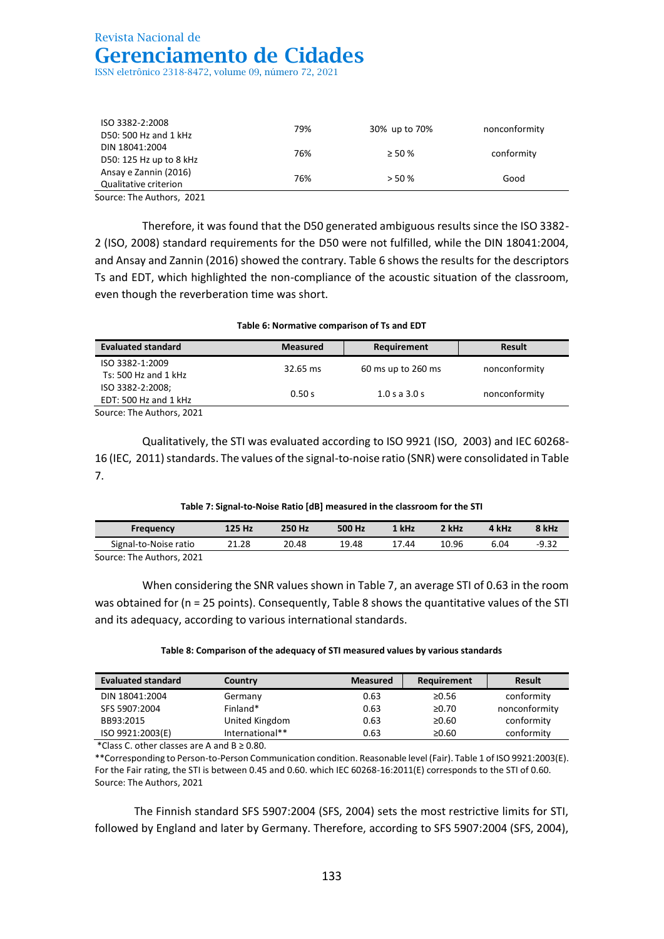ISO 3382-2:2008 D50: 500 Hz and 1 kHz 79% 30% up to 70% nonconformity DIN 18041:2004  $D_{10}$  and  $D_{20}$  1.2004  $D_{30}$ : 125 Hz up to 8 kHz  $D_{30}$ : 125 Hz up to 8 kHz Ansay e Zannin (2016) Qualitative criterion 76% > 50 % Good

Source: The Authors, 2021

Therefore, it was found that the D50 generated ambiguous results since the ISO 3382- 2 (ISO, 2008) standard requirements for the D50 were not fulfilled, while the DIN 18041:2004, and Ansay and Zannin (2016) showed the contrary. Table 6 shows the results for the descriptors Ts and EDT, which highlighted the non-compliance of the acoustic situation of the classroom, even though the reverberation time was short.

**Table 6: Normative comparison of Ts and EDT**

| <b>Evaluated standard</b> | <b>Measured</b> | Requirement        | <b>Result</b> |  |
|---------------------------|-----------------|--------------------|---------------|--|
| ISO 3382-1:2009           | 32.65 ms        | 60 ms up to 260 ms | nonconformity |  |
| Ts: 500 Hz and 1 $kHz$    |                 |                    |               |  |
| ISO 3382-2:2008;          | 0.50 s          | $1.0$ s a $3.0$ s  | nonconformity |  |
| EDT: 500 Hz and 1 kHz     |                 |                    |               |  |
| Source: The Authors, 2021 |                 |                    |               |  |

Qualitatively, the STI was evaluated according to ISO 9921 (ISO, 2003) and IEC 60268- 16 (IEC, 2011) standards. The values of the signal-to-noise ratio (SNR) were consolidated in Table 7.

| Table 7 . Signal to Holse hatio [ab] incasarea in the classroom for the STI |        |        |        |       |       |       |         |  |
|-----------------------------------------------------------------------------|--------|--------|--------|-------|-------|-------|---------|--|
| <b>Frequency</b>                                                            | 125 Hz | 250 Hz | 500 Hz | 1 kHz | 2 kHz | 4 kHz | 8 kHz   |  |
| Signal-to-Noise ratio                                                       | 21.28  | 20.48  | 19.48  | 17.44 | 10.96 | 6.04  | $-9.32$ |  |

**Table 7: Signal-to-Noise Ratio [dB] measured in the classroom for the STI**

Source: The Authors, 2021

When considering the SNR values shown in Table 7, an average STI of 0.63 in the room was obtained for (n = 25 points). Consequently, Table 8 shows the quantitative values of the STI and its adequacy, according to various international standards.

#### **Table 8: Comparison of the adequacy of STI measured values by various standards**

| <b>Evaluated standard</b> | Country         | <b>Measured</b> | Requirement | <b>Result</b> |
|---------------------------|-----------------|-----------------|-------------|---------------|
| DIN 18041:2004            | Germany         | 0.63            | ≥0.56       | conformity    |
| SFS 5907:2004             | Finland*        | 0.63            | ≥0.70       | nonconformity |
| BB93:2015                 | United Kingdom  | 0.63            | ≥0.60       | conformity    |
| ISO 9921:2003(E)          | International** | 0.63            | ≥0.60       | conformity    |

\*Class C. other classes are A and  $B \ge 0.80$ .

\*\*Corresponding to Person-to-Person Communication condition. Reasonable level (Fair). Table 1 of ISO 9921:2003(E). For the Fair rating, the STI is between 0.45 and 0.60. which IEC 60268-16:2011(E) corresponds to the STI of 0.60. Source: The Authors, 2021

The Finnish standard SFS 5907:2004 (SFS, 2004) sets the most restrictive limits for STI, followed by England and later by Germany. Therefore, according to SFS 5907:2004 (SFS, 2004),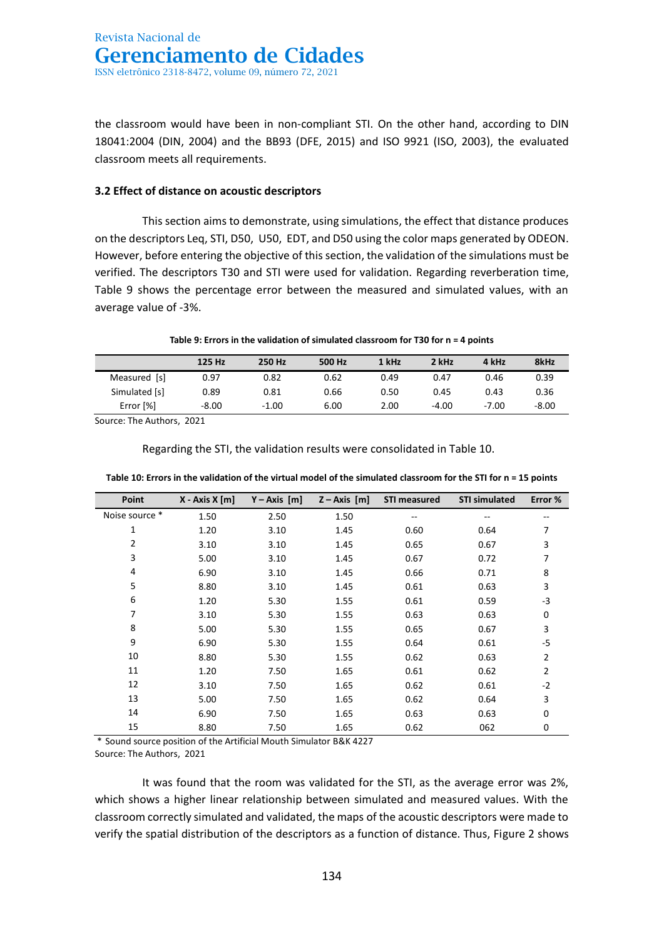the classroom would have been in non-compliant STI. On the other hand, according to DIN 18041:2004 (DIN, 2004) and the BB93 (DFE, 2015) and ISO 9921 (ISO, 2003), the evaluated classroom meets all requirements.

## **3.2 Effect of distance on acoustic descriptors**

This section aims to demonstrate, using simulations, the effect that distance produces on the descriptors Leq, STI, D50, U50, EDT, and D50 using the color maps generated by ODEON. However, before entering the objective of this section, the validation of the simulations must be verified. The descriptors T30 and STI were used for validation. Regarding reverberation time, Table 9 shows the percentage error between the measured and simulated values, with an average value of -3%.

### **Table 9: Errors in the validation of simulated classroom for T30 for n = 4 points**

|                 | 125 Hz  | 250 Hz  | 500 Hz | 1 kHz | 2 kHz   | 4 kHz   | 8kHz  |
|-----------------|---------|---------|--------|-------|---------|---------|-------|
| [s]<br>Measured | 0.97    | 0.82    | 0.62   | 0.49  | 0.47    | 0.46    | 0.39  |
| Simulated [s]   | 0.89    | 0.81    | 0.66   | 0.50  | 0.45    | 0.43    | 0.36  |
| Error [%]       | $-8.00$ | $-1.00$ | 6.00   | 2.00  | $-4.00$ | $-7.00$ | -8.00 |

Source: The Authors, 2021

Regarding the STI, the validation results were consolidated in Table 10.

| Point          | $X - Axis X[m]$ | $Y - Axis [m]$ | $Z - Axis$ [m] | <b>STI measured</b> | <b>STI simulated</b> | Error %        |
|----------------|-----------------|----------------|----------------|---------------------|----------------------|----------------|
| Noise source * | 1.50            | 2.50           | 1.50           | --                  | $- -$                |                |
| 1              | 1.20            | 3.10           | 1.45           | 0.60                | 0.64                 | 7              |
| 2              | 3.10            | 3.10           | 1.45           | 0.65                | 0.67                 | 3              |
| 3              | 5.00            | 3.10           | 1.45           | 0.67                | 0.72                 | 7              |
| 4              | 6.90            | 3.10           | 1.45           | 0.66                | 0.71                 | 8              |
| 5              | 8.80            | 3.10           | 1.45           | 0.61                | 0.63                 | 3              |
| 6              | 1.20            | 5.30           | 1.55           | 0.61                | 0.59                 | -3             |
| 7              | 3.10            | 5.30           | 1.55           | 0.63                | 0.63                 | 0              |
| 8              | 5.00            | 5.30           | 1.55           | 0.65                | 0.67                 | 3              |
| 9              | 6.90            | 5.30           | 1.55           | 0.64                | 0.61                 | $-5$           |
| 10             | 8.80            | 5.30           | 1.55           | 0.62                | 0.63                 | $\overline{2}$ |
| 11             | 1.20            | 7.50           | 1.65           | 0.61                | 0.62                 | $\overline{2}$ |
| 12             | 3.10            | 7.50           | 1.65           | 0.62                | 0.61                 | $-2$           |
| 13             | 5.00            | 7.50           | 1.65           | 0.62                | 0.64                 | 3              |
| 14             | 6.90            | 7.50           | 1.65           | 0.63                | 0.63                 | 0              |
| 15             | 8.80            | 7.50           | 1.65           | 0.62                | 062                  | 0              |

|  |  | Table 10: Errors in the validation of the virtual model of the simulated classroom for the STI for n = 15 points |  |  |
|--|--|------------------------------------------------------------------------------------------------------------------|--|--|
|  |  |                                                                                                                  |  |  |

\* Sound source position of the Artificial Mouth Simulator B&K 4227 Source: The Authors, 2021

It was found that the room was validated for the STI, as the average error was 2%, which shows a higher linear relationship between simulated and measured values. With the classroom correctly simulated and validated, the maps of the acoustic descriptors were made to verify the spatial distribution of the descriptors as a function of distance. Thus, Figure 2 shows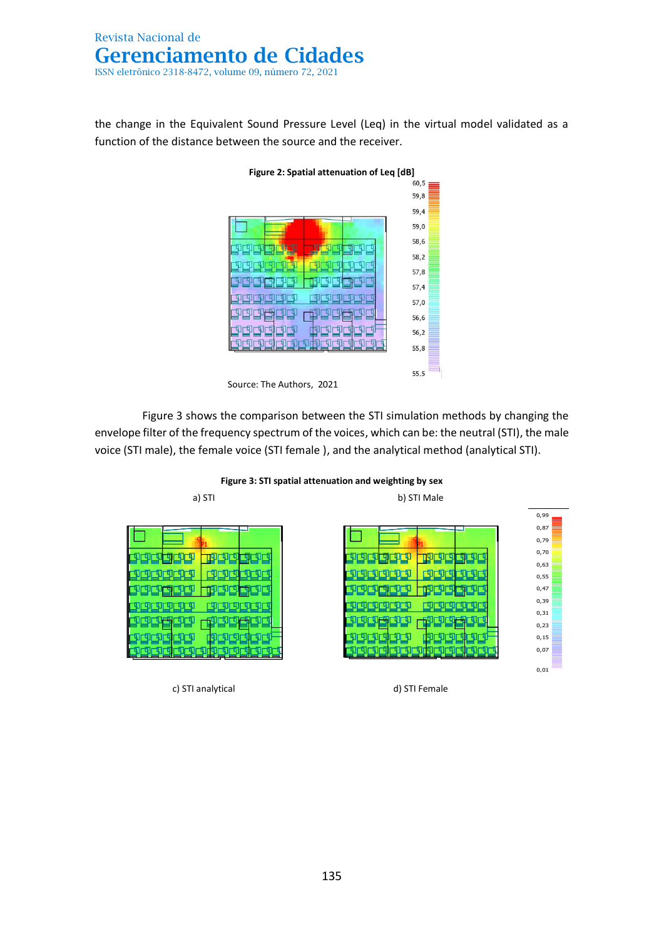the change in the Equivalent Sound Pressure Level (Leq) in the virtual model validated as a function of the distance between the source and the receiver.



Figure 3 shows the comparison between the STI simulation methods by changing the envelope filter of the frequency spectrum of the voices, which can be: the neutral (STI), the male voice (STI male), the female voice (STI female ), and the analytical method (analytical STI).



c) STI analytical d) STI Female

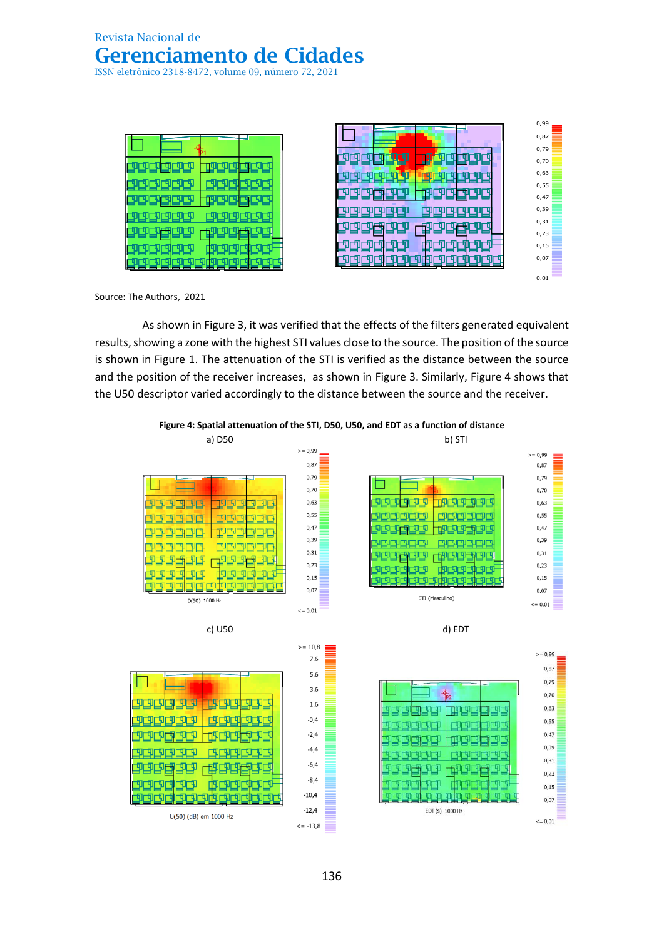



0,74 0,73

0,68

Source: The Authors, 2021  $\overline{C}$ 1985-2011 Licensed to: Universidade Federal do Pará (UFPA) estados e o Pará (UFPA) e o Pará (UFPA) e o Optimidade Federal do Pará (UFPA) e o Pará (UFPA) e o Pará (UFPA) e o Optimidade Federal do Pará (UFPA) e o Op

> As shown in Figure 3, it was verified that the effects of the filters generated equivalent results, showing a zone with the highest STI values close to the source. The position of the source is shown in Figure 1. The attenuation of the STI is verified as the distance between the source and the position of the receiver increases, as shown in Figure 3. Similarly, Figure 4 shows that the U50 descriptor varied accordingly to the distance between the source and the receiver.

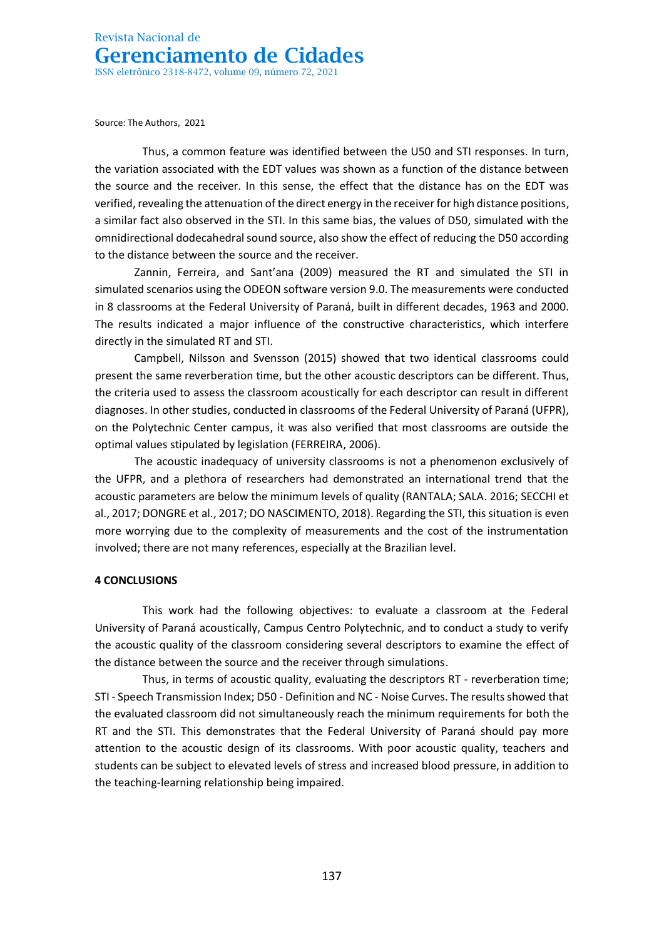Source: The Authors, 2021

Thus, a common feature was identified between the U50 and STI responses. In turn, the variation associated with the EDT values was shown as a function of the distance between the source and the receiver. In this sense, the effect that the distance has on the EDT was verified, revealing the attenuation of the direct energy in the receiver for high distance positions, a similar fact also observed in the STI. In this same bias, the values of D50, simulated with the omnidirectional dodecahedral sound source, also show the effect of reducing the D50 according to the distance between the source and the receiver.

Zannin, Ferreira, and Sant'ana (2009) measured the RT and simulated the STI in simulated scenarios using the ODEON software version 9.0. The measurements were conducted in 8 classrooms at the Federal University of Paraná, built in different decades, 1963 and 2000. The results indicated a major influence of the constructive characteristics, which interfere directly in the simulated RT and STI.

Campbell, Nilsson and Svensson (2015) showed that two identical classrooms could present the same reverberation time, but the other acoustic descriptors can be different. Thus, the criteria used to assess the classroom acoustically for each descriptor can result in different diagnoses. In other studies, conducted in classrooms of the Federal University of Paraná (UFPR), on the Polytechnic Center campus, it was also verified that most classrooms are outside the optimal values stipulated by legislation (FERREIRA, 2006).

The acoustic inadequacy of university classrooms is not a phenomenon exclusively of the UFPR, and a plethora of researchers had demonstrated an international trend that the acoustic parameters are below the minimum levels of quality (RANTALA; SALA. 2016; SECCHI et al., 2017; DONGRE et al., 2017; DO NASCIMENTO, 2018). Regarding the STI, this situation is even more worrying due to the complexity of measurements and the cost of the instrumentation involved; there are not many references, especially at the Brazilian level.

## **4 CONCLUSIONS**

This work had the following objectives: to evaluate a classroom at the Federal University of Paraná acoustically, Campus Centro Polytechnic, and to conduct a study to verify the acoustic quality of the classroom considering several descriptors to examine the effect of the distance between the source and the receiver through simulations.

Thus, in terms of acoustic quality, evaluating the descriptors RT - reverberation time; STI - Speech Transmission Index; D50 - Definition and NC - Noise Curves. The results showed that the evaluated classroom did not simultaneously reach the minimum requirements for both the RT and the STI. This demonstrates that the Federal University of Paraná should pay more attention to the acoustic design of its classrooms. With poor acoustic quality, teachers and students can be subject to elevated levels of stress and increased blood pressure, in addition to the teaching-learning relationship being impaired.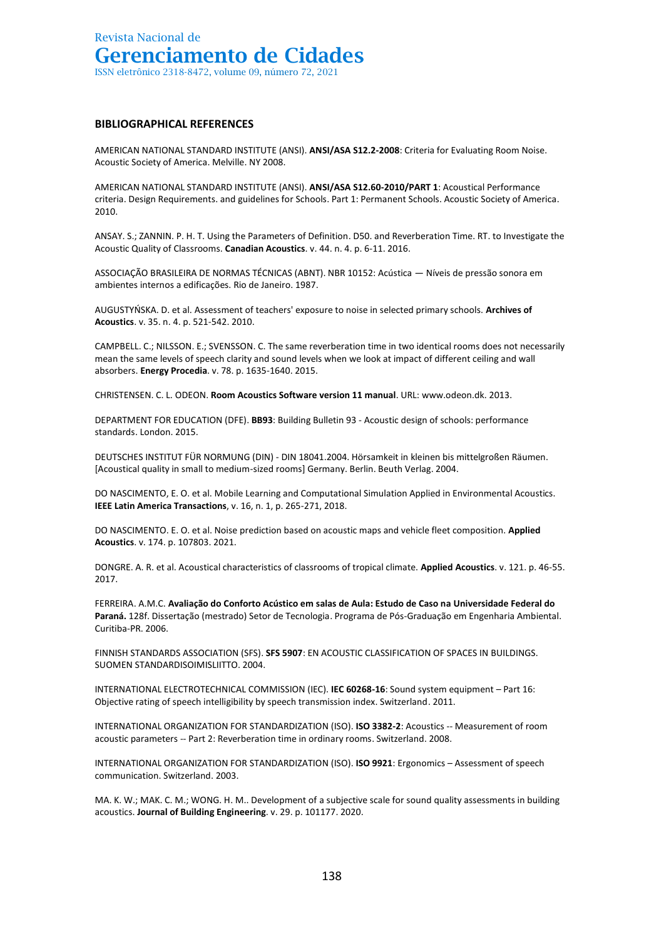#### **BIBLIOGRAPHICAL REFERENCES**

AMERICAN NATIONAL STANDARD INSTITUTE (ANSI). **ANSI/ASA S12.2-2008**: Criteria for Evaluating Room Noise. Acoustic Society of America. Melville. NY 2008.

AMERICAN NATIONAL STANDARD INSTITUTE (ANSI). **ANSI/ASA S12.60-2010/PART 1**: Acoustical Performance criteria. Design Requirements. and guidelines for Schools. Part 1: Permanent Schools. Acoustic Society of America. 2010.

ANSAY. S.; ZANNIN. P. H. T. Using the Parameters of Definition. D50. and Reverberation Time. RT. to Investigate the Acoustic Quality of Classrooms. **Canadian Acoustics**. v. 44. n. 4. p. 6-11. 2016.

ASSOCIAÇÃO BRASILEIRA DE NORMAS TÉCNICAS (ABNT). NBR 10152: Acústica — Níveis de pressão sonora em ambientes internos a edificações. Rio de Janeiro. 1987.

AUGUSTYŃSKA. D. et al. Assessment of teachers' exposure to noise in selected primary schools. **Archives of Acoustics**. v. 35. n. 4. p. 521-542. 2010.

CAMPBELL. C.; NILSSON. E.; SVENSSON. C. The same reverberation time in two identical rooms does not necessarily mean the same levels of speech clarity and sound levels when we look at impact of different ceiling and wall absorbers. **Energy Procedia**. v. 78. p. 1635-1640. 2015.

CHRISTENSEN. C. L. ODEON. **Room Acoustics Software version 11 manual**. URL: www.odeon.dk. 2013.

DEPARTMENT FOR EDUCATION (DFE). **BB93**: Building Bulletin 93 - Acoustic design of schools: performance standards. London. 2015.

DEUTSCHES INSTITUT FÜR NORMUNG (DIN) - DIN 18041.2004. Hörsamkeit in kleinen bis mittelgroßen Räumen. [Acoustical quality in small to medium-sized rooms] Germany. Berlin. Beuth Verlag. 2004.

DO NASCIMENTO, E. O. et al. Mobile Learning and Computational Simulation Applied in Environmental Acoustics. **IEEE Latin America Transactions**, v. 16, n. 1, p. 265-271, 2018.

DO NASCIMENTO. E. O. et al. Noise prediction based on acoustic maps and vehicle fleet composition. **Applied Acoustics**. v. 174. p. 107803. 2021.

DONGRE. A. R. et al. Acoustical characteristics of classrooms of tropical climate. **Applied Acoustics**. v. 121. p. 46-55. 2017.

FERREIRA. A.M.C. **Avaliação do Conforto Acústico em salas de Aula: Estudo de Caso na Universidade Federal do Paraná.** 128f. Dissertação (mestrado) Setor de Tecnologia. Programa de Pós-Graduação em Engenharia Ambiental. Curitiba-PR. 2006.

FINNISH STANDARDS ASSOCIATION (SFS). **SFS 5907**: EN ACOUSTIC CLASSIFICATION OF SPACES IN BUILDINGS. SUOMEN STANDARDISOIMISLIITTO. 2004.

INTERNATIONAL ELECTROTECHNICAL COMMISSION (IEC). **IEC 60268-16**: Sound system equipment – Part 16: Objective rating of speech intelligibility by speech transmission index. Switzerland. 2011.

INTERNATIONAL ORGANIZATION FOR STANDARDIZATION (ISO). **ISO 3382-2**: Acoustics -- Measurement of room acoustic parameters -- Part 2: Reverberation time in ordinary rooms. Switzerland. 2008.

INTERNATIONAL ORGANIZATION FOR STANDARDIZATION (ISO). **ISO 9921**: Ergonomics – Assessment of speech communication. Switzerland. 2003.

MA. K. W.; MAK. C. M.; WONG. H. M.. Development of a subjective scale for sound quality assessments in building acoustics. **Journal of Building Engineering**. v. 29. p. 101177. 2020.